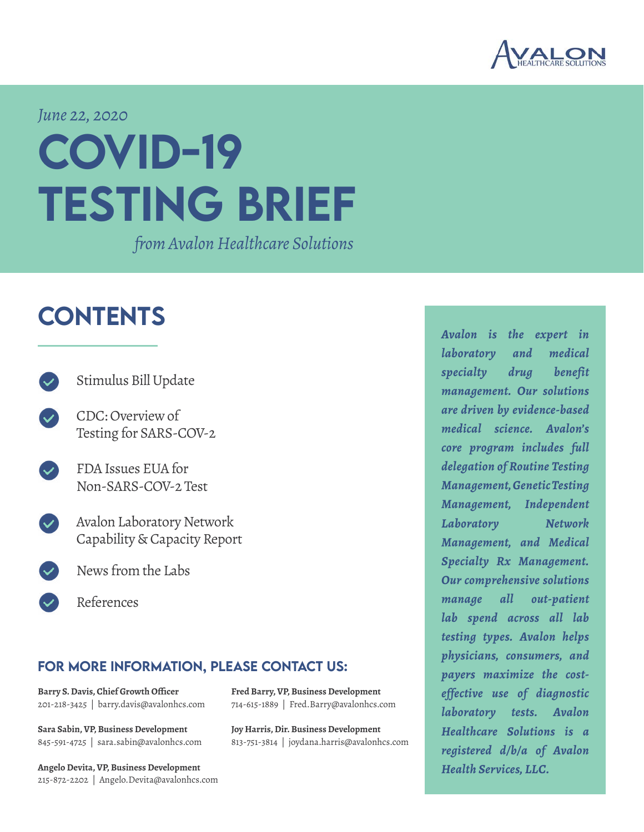

*June 22, 2020*

# COVID-19 TESTING BRIEF

*from Avalon Healthcare Solutions*

# **CONTENTS**

- [Stimulus Bill Update](#page-1-0)
- [CDC: Overview of](#page-3-0) [Testing for SARS-COV-2](#page-3-0)
- [FDA Issues EUA for](#page-4-0)  [Non-SARS-COV-2 Test](#page-4-0)
- [Avalon Laboratory Network](#page-5-0) [Capability & Capacity Report](#page-5-0)
	- [News from the Labs](#page-6-0)
	- [References](#page-7-0)

### FOR MORE INFORMATION, PLEASE CONTACT US:

**Fred Barry, VP, Business Development** 714-615-1889 | Fred.Barry@avalonhcs.com

**Joy Harris, Dir. Business Development** 813-751-3814 | joydana.harris@avalonhcs.com

**Barry S. Davis, Chief Growth Officer** 201-218-3425 | barry.davis@avalonhcs.com

**Sara Sabin, VP, Business Development** 845-591-4725 | sara.sabin@avalonhcs.com

**Angelo Devita, VP, Business Development** 215-872-2202 | Angelo.Devita@avalonhcs.com *Avalon is the expert in laboratory and medical specialty drug benefit management. Our solutions are driven by evidence-based medical science. Avalon's core program includes full delegation of Routine Testing Management, Genetic Testing Management, Independent Laboratory Network Management, and Medical Specialty Rx Management. Our comprehensive solutions manage all out-patient lab spend across all lab testing types. Avalon helps physicians, consumers, and payers maximize the costeffective use of diagnostic laboratory tests. Avalon Healthcare Solutions is a registered d/b/a of Avalon Health Services, LLC.*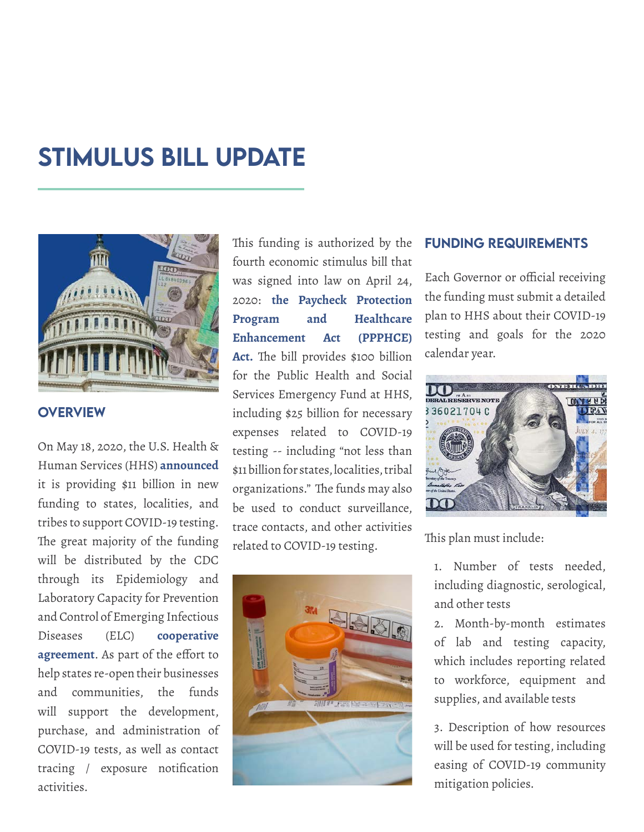### <span id="page-1-0"></span>Stimulus Bill Update



#### **OVERVIEW**

On May 18, 2020, the U.S. Health & Human Services (HHS) **[announced](https://www.hhs.gov/about/news/2020/05/18/hhs-delivers-funding-to-expand-testing-capacity-for-states-territories-tribes.html)** it is providing \$11 billion in new funding to states, localities, and tribes to support COVID-19 testing. The great majority of the funding will be distributed by the CDC through its Epidemiology and Laboratory Capacity for Prevention and Control of Emerging Infectious Diseases (ELC) **[cooperative](https://www.cdc.gov/ncezid/dvbd/about/prepare-nation/elc.html) [agreement](https://www.cdc.gov/ncezid/dvbd/about/prepare-nation/elc.html)**. As part of the effort to help states re-open their businesses and communities, the funds will support the development, purchase, and administration of COVID-19 tests, as well as contact tracing / exposure notification activities.

This funding is authorized by the fourth economic stimulus bill that was signed into law on April 24, 2020: **[the Paycheck Protection](https://www.congress.gov/bill/116th-congress/house-bill/266/actions?KWICView=false)  [Program and Healthcare](https://www.congress.gov/bill/116th-congress/house-bill/266/actions?KWICView=false) [Enhancement Act \(PPPHCE\)](https://www.congress.gov/bill/116th-congress/house-bill/266/actions?KWICView=false) [Act.](https://www.congress.gov/bill/116th-congress/house-bill/266/actions?KWICView=false)** The bill provides \$100 billion for the Public Health and Social Services Emergency Fund at HHS, including \$25 billion for necessary expenses related to COVID-19 testing -- including "not less than \$11 billion for states, localities, tribal organizations." The funds may also be used to conduct surveillance, trace contacts, and other activities related to COVID-19 testing.



#### FUNDING REQUIREMENTS

Each Governor or official receiving the funding must submit a detailed plan to HHS about their COVID-19 testing and goals for the 2020 calendar year.



This plan must include:

1. Number of tests needed, including diagnostic, serological, and other tests

2. Month-by-month estimates of lab and testing capacity, which includes reporting related to workforce, equipment and supplies, and available tests

3. Description of how resources will be used for testing, including easing of COVID-19 community mitigation policies.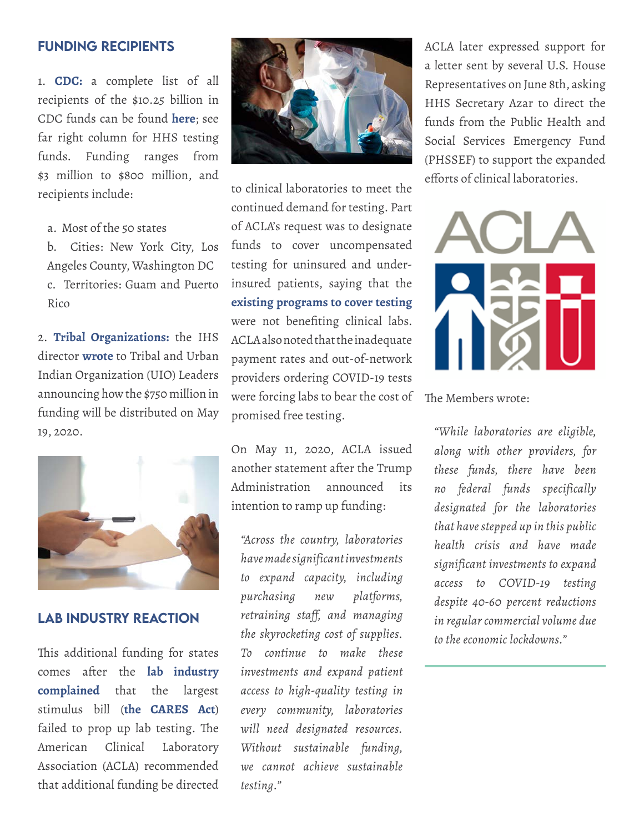#### FUNDING RECIPIENTS

1. **CDC:** a complete list of all recipients of the \$10.25 billion in CDC funds can be found **[here](https://www.cdc.gov/coronavirus/2019-ncov/downloads/php/funding-update.pdf)**; see far right column for HHS testing funds. Funding ranges from \$3 million to \$800 million, and recipients include:

a. Most of the 50 states

b. Cities: New York City, Los Angeles County, Washington DC c. Territories: Guam and Puerto Rico

2. **Tribal Organizations:** the IHS director **[wrote](https://www.ihs.gov/sites/newsroom/themes/responsive2017/display_objects/documents/2020_Letters/DTLL_DUIOLL_05192020.pdf)** to Tribal and Urban Indian Organization (UIO) Leaders announcing how the \$750 million in funding will be distributed on May 19, 2020.



#### LAB INDUSTRY REACTION

This additional funding for states comes after the **[lab industry](https://www.acla.com/acla-letter-to-congressional-leadership-on-covid-19/) [complained](https://www.acla.com/acla-letter-to-congressional-leadership-on-covid-19/)** that the largest stimulus bill (**[the CARES Act](https://www.congress.gov/116/bills/hr748/BILLS-116hr748enr.pdf)**) failed to prop up lab testing. The American Clinical Laboratory Association (ACLA) recommended that additional funding be directed



to clinical laboratories to meet the continued demand for testing. Part of ACLA's request was to designate funds to cover uncompensated testing for uninsured and underinsured patients, saying that the **[existing programs to cover testing](https://www.hrsa.gov/CovidUninsuredClaim)**  were not benefiting clinical labs. ACLA also noted that the inadequate payment rates and out-of-network providers ordering COVID-19 tests were forcing labs to bear the cost of promised free testing.

On May 11, 2020, ACLA issued another statement after the Trump Administration announced its intention to ramp up funding:

*"Across the country, laboratories have made significant investments to expand capacity, including purchasing new platforms, retraining staff, and managing the skyrocketing cost of supplies. To continue to make these investments and expand patient access to high-quality testing in every community, laboratories will need designated resources. Without sustainable funding, we cannot achieve sustainable testing."*

ACLA later expressed support for a letter sent by several U.S. House Representatives on June 8th, asking HHS Secretary Azar to direct the funds from the Public Health and Social Services Emergency Fund (PHSSEF) to support the expanded efforts of clinical laboratories.



The Members wrote:

*"While laboratories are eligible, along with other providers, for these funds, there have been no federal funds specifically designated for the laboratories that have stepped up in this public health crisis and have made significant investments to expand access to COVID-19 testing despite 40-60 percent reductions in regular commercial volume due to the economic lockdowns."*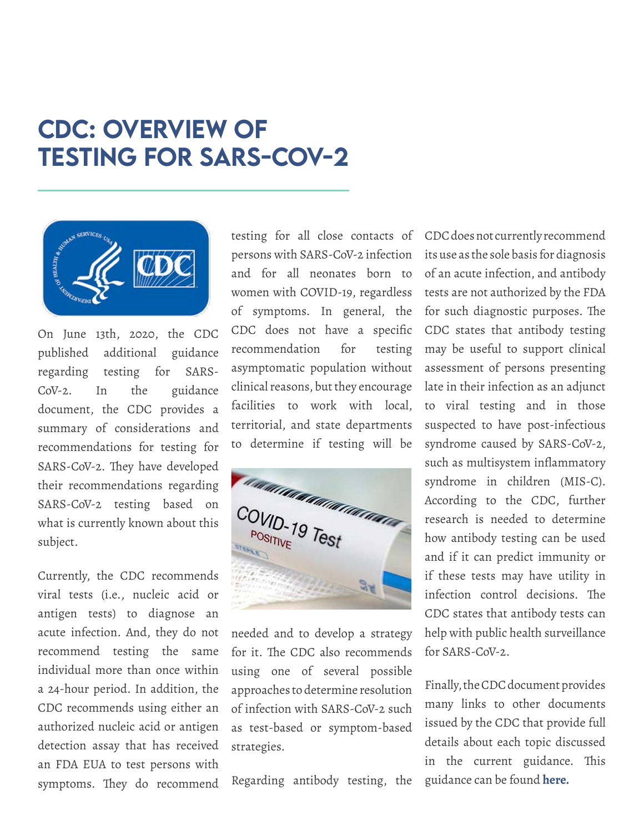### <span id="page-3-0"></span>CDC: OVERVIEW OF TESTING FOR SARS-COV-2



On June 13th, 2020, the CDC published additional guidance regarding testing for SARS-CoV-2. In the guidance document, the CDC provides a summary of considerations and recommendations for testing for SARS-CoV-2. They have developed their recommendations regarding SARS-CoV-2 testing based on what is currently known about this subject.

Currently, the CDC recommends viral tests (i.e., nucleic acid or antigen tests) to diagnose an acute infection. And, they do not recommend testing the same individual more than once within a 24-hour period. In addition, the CDC recommends using either an authorized nucleic acid or antigen detection assay that has received an FDA EUA to test persons with symptoms. They do recommend

testing for all close contacts of persons with SARS-CoV-2 infection and for all neonates born to women with COVID-19, regardless of symptoms. In general, the CDC does not have a specific recommendation for testing asymptomatic population without clinical reasons, but they encourage facilities to work with local, territorial, and state departments to determine if testing will be



needed and to develop a strategy for it. The CDC also recommends using one of several possible approaches to determine resolution of infection with SARS-CoV-2 such as test-based or symptom-based strategies.

Regarding antibody testing, the

CDC does not currently recommend its use as the sole basis for diagnosis of an acute infection, and antibody tests are not authorized by the FDA for such diagnostic purposes. The CDC states that antibody testing may be useful to support clinical assessment of persons presenting late in their infection as an adjunct to viral testing and in those suspected to have post-infectious syndrome caused by SARS-CoV-2, such as multisystem inflammatory syndrome in children (MIS-C). According to the CDC, further research is needed to determine how antibody testing can be used and if it can predict immunity or if these tests may have utility in infection control decisions. The CDC states that antibody tests can help with public health surveillance for SARS-CoV-2.

Finally, the CDC document provides many links to other documents issued by the CDC that provide full details about each topic discussed in the current guidance. This guidance can be found **[here.](https://www.cdc.gov/coronavirus/2019-ncov/hcp/testing-overview.html)**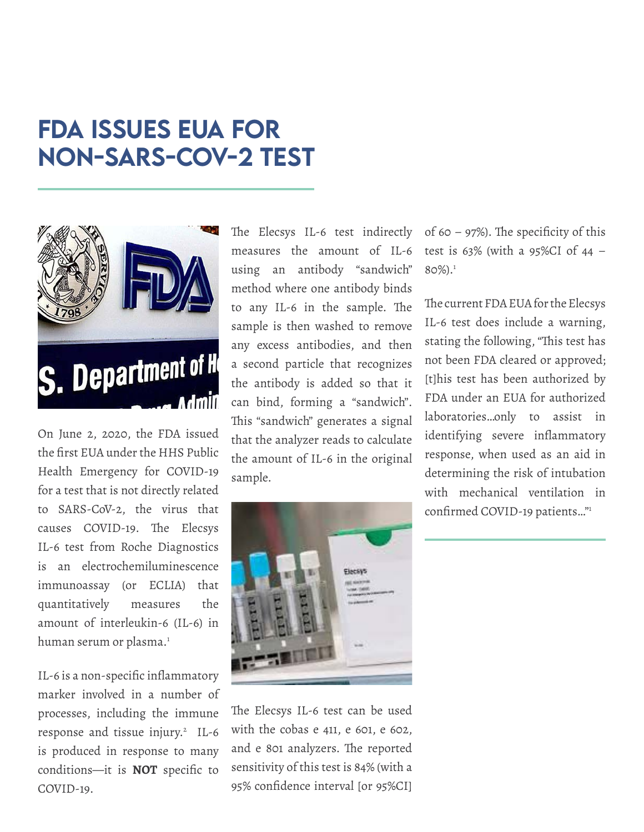## <span id="page-4-0"></span>FDA ISSUES EUA FOR NON-SARS-COV-2 TEST



On June 2, 2020, the FDA issued the first EUA under the HHS Public Health Emergency for COVID-19 for a test that is not directly related to SARS-CoV-2, the virus that causes COVID-19. The Elecsys IL-6 test from Roche Diagnostics is an electrochemiluminescence immunoassay (or ECLIA) that quantitatively measures the amount of interleukin-6 (IL-6) in human serum or plasma.<sup>1</sup>

IL-6 is a non-specific inflammatory marker involved in a number of processes, including the immune response and tissue injury.<sup>2</sup> IL-6 is produced in response to many conditions—it is **NOT** specific to COVID-19.

The Elecsys IL-6 test indirectly measures the amount of IL-6 using an antibody "sandwich" method where one antibody binds to any IL-6 in the sample. The sample is then washed to remove any excess antibodies, and then a second particle that recognizes the antibody is added so that it can bind, forming a "sandwich". This "sandwich" generates a signal that the analyzer reads to calculate the amount of IL-6 in the original sample.



The Elecsys IL-6 test can be used with the cobas e 411, e 601, e 602, and e 801 analyzers. The reported sensitivity of this test is 84% (with a 95% confidence interval [or 95%CI] of 60 – 97%). The specificity of this test is 63% (with a 95%CI of 44 – 80%).1

The current FDA EUA for the Elecsys IL-6 test does include a warning, stating the following, "This test has not been FDA cleared or approved; [t]his test has been authorized by FDA under an EUA for authorized laboratories…only to assist in identifying severe inflammatory response, when used as an aid in determining the risk of intubation with mechanical ventilation in confirmed COVID-19 patients…"1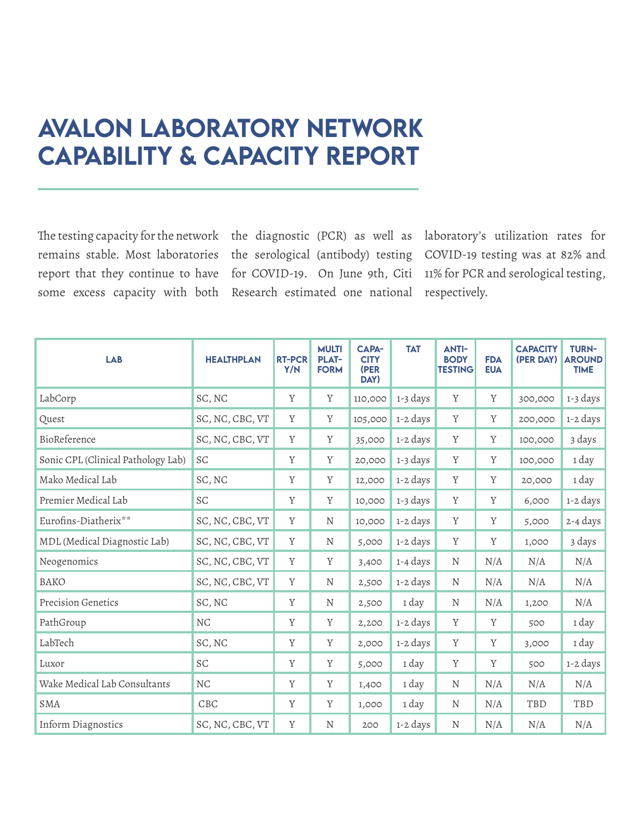### <span id="page-5-0"></span>Avalon Laboratory Network Capability & Capacity Report

The testing capacity for the network the diagnostic (PCR) as well as laboratory's utilization rates for remains stable. Most laboratories the serological (antibody) testing COVID-19 testing was at 82% and report that they continue to have for COVID-19. On June 9th, Citi 11% for PCR and serological testing, some excess capacity with both Research estimated one national respectively.

| <b>LAB</b>                         | <b>HEALTHPLAN</b> | <b>RT-PCR</b><br>Y/N | <b>MULTI</b><br><b>PLAT-</b><br><b>FORM</b> | <b>CAPA-</b><br><b>CITY</b><br>(PER<br>DAY) | <b>TAT</b> | <b>ANTI-</b><br><b>BODY</b><br><b>TESTING</b> | <b>FDA</b><br><b>EUA</b> | <b>CAPACITY</b><br>(PER DAY) | <b>TURN-</b><br><b>AROUND</b><br><b>TIME</b> |
|------------------------------------|-------------------|----------------------|---------------------------------------------|---------------------------------------------|------------|-----------------------------------------------|--------------------------|------------------------------|----------------------------------------------|
| LabCorp                            | SC, NC            | Y                    | Y                                           | 110,000                                     | 1-3 days   | Y                                             | Y                        | 300,000                      | 1-3 days                                     |
| Quest                              | SC, NC, CBC, VT   | Y                    | Y                                           | 105,000                                     | 1-2 days   | Y                                             | Y                        | 200,000                      | 1-2 days                                     |
| BioReference                       | SC, NC, CBC, VT   | Y                    | Y                                           | 35,000                                      | 1-2 days   | $\mathbf Y$                                   | Y                        | 100,000                      | 3 days                                       |
| Sonic CPL (Clinical Pathology Lab) | SC                | $\mathbf Y$          | Y                                           | 20,000                                      | 1-3 days   | Y                                             | Y                        | 100,000                      | 1 day                                        |
| Mako Medical Lab                   | SC, NC            | Y                    | Y                                           | 12,000                                      | 1-2 days   | Y                                             | Y                        | 20,000                       | 1 day                                        |
| Premier Medical Lab                | SC                | Y                    | Y                                           | 10,000                                      | 1-3 days   | $\mathbf Y$                                   | Y                        | 6,000                        | 1-2 days                                     |
| Eurofins-Diatherix**               | SC, NC, CBC, VT   | Y                    | N                                           | 10,000                                      | 1-2 days   | Y                                             | Y                        | 5,000                        | 2-4 days                                     |
| MDL (Medical Diagnostic Lab)       | SC, NC, CBC, VT   | Y                    | N                                           | 5,000                                       | 1-2 days   | $\mathbf Y$                                   | Y                        | 1,000                        | 3 days                                       |
| Neogenomics                        | SC, NC, CBC, VT   | Y                    | Y                                           | 3,400                                       | 1-4 days   | N                                             | N/A                      | N/A                          | N/A                                          |
| BAKO                               | SC, NC, CBC, VT   | Y                    | N                                           | 2,500                                       | 1-2 days   | $\mathbf N$                                   | N/A                      | N/A                          | N/A                                          |
| Precision Genetics                 | SC, NC            | Y                    | N                                           | 2,500                                       | 1 day      | $\mathbf N$                                   | N/A                      | 1,200                        | N/A                                          |
| PathGroup                          | NC                | Y                    | Y                                           | 2,200                                       | 1-2 days   | Y                                             | Y                        | 500                          | 1 day                                        |
| LabTech                            | SC, NC            | Y                    | Y                                           | 2,000                                       | 1-2 days   | Y                                             | Y                        | 3,000                        | 1 day                                        |
| Luxor                              | SC                | Y                    | Y                                           | 5,000                                       | 1 day      | Y                                             | Y                        | 500                          | 1-2 days                                     |
| Wake Medical Lab Consultants       | NC                | $\mathbf Y$          | Y                                           | 1,400                                       | 1 day      | $\mathbf N$                                   | N/A                      | N/A                          | N/A                                          |
| <b>SMA</b>                         | CBC               | $\mathbf Y$          | Y                                           | 1,000                                       | 1 day      | $\mathbf N$                                   | N/A                      | TBD                          | TBD                                          |
| Inform Diagnostics                 | SC, NC, CBC, VT   | Y                    | $\mathbf N$                                 | 200                                         | 1-2 days   | $\mathbf N$                                   | N/A                      | N/A                          | N/A                                          |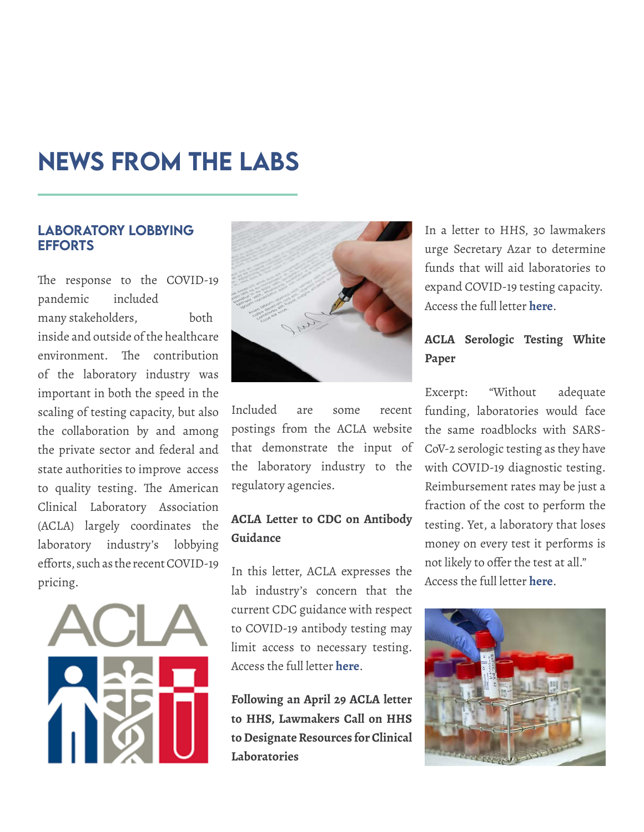### <span id="page-6-0"></span>NEWS FROM THE LABS

### LABORATORY LOBBYING EFFORTS

The response to the COVID-19 pandemic included many stakeholders, both inside and outside of the healthcare environment. The contribution of the laboratory industry was important in both the speed in the scaling of testing capacity, but also the collaboration by and among the private sector and federal and state authorities to improve access to quality testing. The American Clinical Laboratory Association (ACLA) largely coordinates the laboratory industry's lobbying efforts, such as the recent COVID-19 pricing.





Included are some recent postings from the ACLA website that demonstrate the input of the laboratory industry to the regulatory agencies.

### **ACLA Letter to CDC on Antibody Guidance**

In this letter, ACLA expresses the lab industry's concern that the current CDC guidance with respect to COVID-19 antibody testing may limit access to necessary testing. Access the full letter **[here](https://www.acla.com/acla-letter-to-cdc-on-antibody-guidance/ )**.

**Following an April 29 ACLA letter to HHS, Lawmakers Call on HHS to Designate Resources for Clinical Laboratories**

In a letter to HHS, 30 lawmakers urge Secretary Azar to determine funds that will aid laboratories to expand COVID-19 testing capacity. Access the full letter **[here](https://www.acla.com/amid-growing-demand-for-testing-lawmakers-call-on-hhs-to-designate-resources-for-clinical-laboratories/)**.

### **ACLA Serologic Testing White Paper**

Excerpt: "Without adequate funding, laboratories would face the same roadblocks with SARS-CoV-2 serologic testing as they have with COVID-19 diagnostic testing. Reimbursement rates may be just a fraction of the cost to perform the testing. Yet, a laboratory that loses money on every test it performs is not likely to offer the test at all." Access the full letter **[here](https://www.acla.com/acla-serologic-testing-white-paper/)**.